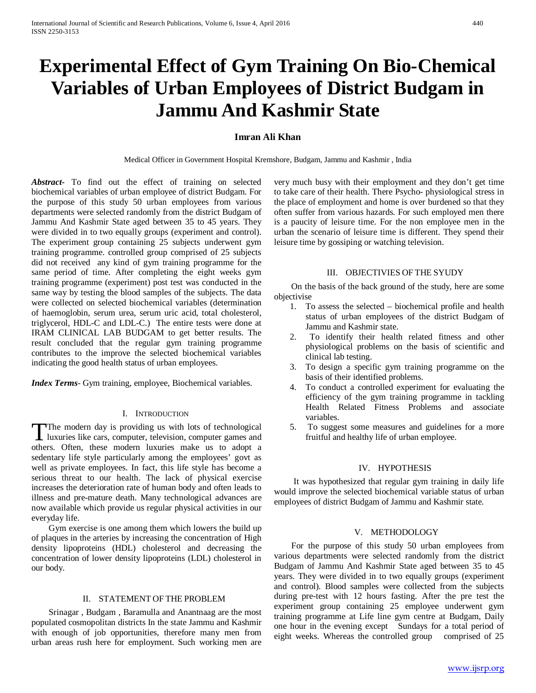# **Experimental Effect of Gym Training On Bio-Chemical Variables of Urban Employees of District Budgam in Jammu And Kashmir State**

# **Imran Ali Khan**

Medical Officer in Government Hospital Kremshore, Budgam, Jammu and Kashmir , India

*Abstract***-** To find out the effect of training on selected biochemical variables of urban employee of district Budgam. For the purpose of this study 50 urban employees from various departments were selected randomly from the district Budgam of Jammu And Kashmir State aged between 35 to 45 years. They were divided in to two equally groups (experiment and control). The experiment group containing 25 subjects underwent gym training programme. controlled group comprised of 25 subjects did not received any kind of gym training programme for the same period of time. After completing the eight weeks gym training programme (experiment) post test was conducted in the same way by testing the blood samples of the subjects. The data were collected on selected biochemical variables (determination of haemoglobin, serum urea, serum uric acid, total cholesterol, triglycerol, HDL-C and LDL-C.) The entire tests were done at IRAM CLINICAL LAB BUDGAM to get better results. The result concluded that the regular gym training programme contributes to the improve the selected biochemical variables indicating the good health status of urban employees.

*Index Terms*- Gym training, employee, Biochemical variables.

# I. INTRODUCTION

The modern day is providing us with lots of technological The modern day is providing us with lots of technological<br>luxuries like cars, computer, television, computer games and<br>there is a change of the computer of others. Often, these modern luxuries make us to adopt a sedentary life style particularly among the employees' govt as well as private employees. In fact, this life style has become a serious threat to our health. The lack of physical exercise increases the deterioration rate of human body and often leads to illness and pre-mature death. Many technological advances are now available which provide us regular physical activities in our everyday life.

 Gym exercise is one among them which lowers the build up of plaques in the arteries by increasing the concentration of High density lipoproteins (HDL) cholesterol and decreasing the concentration of lower density lipoproteins (LDL) cholesterol in our body.

#### II. STATEMENT OF THE PROBLEM

 Srinagar , Budgam , Baramulla and Anantnaag are the most populated cosmopolitan districts In the state Jammu and Kashmir with enough of job opportunities, therefore many men from urban areas rush here for employment. Such working men are

very much busy with their employment and they don't get time to take care of their health. There Psycho- physiological stress in the place of employment and home is over burdened so that they often suffer from various hazards. For such employed men there is a paucity of leisure time. For the non employee men in the urban the scenario of leisure time is different. They spend their leisure time by gossiping or watching television.

#### III. OBJECTIVIES OF THE SYUDY

 On the basis of the back ground of the study, here are some objectivise

- 1. To assess the selected biochemical profile and health status of urban employees of the district Budgam of Jammu and Kashmir state.
- 2. To identify their health related fitness and other physiological problems on the basis of scientific and clinical lab testing.
- 3. To design a specific gym training programme on the basis of their identified problems.
- 4. To conduct a controlled experiment for evaluating the efficiency of the gym training programme in tackling Health Related Fitness Problems and associate variables.
- 5. To suggest some measures and guidelines for a more fruitful and healthy life of urban employee.

## IV. HYPOTHESIS

 It was hypothesized that regular gym training in daily life would improve the selected biochemical variable status of urban employees of district Budgam of Jammu and Kashmir state.

## V. METHODOLOGY

 For the purpose of this study 50 urban employees from various departments were selected randomly from the district Budgam of Jammu And Kashmir State aged between 35 to 45 years. They were divided in to two equally groups (experiment and control). Blood samples were collected from the subjects during pre-test with 12 hours fasting. After the pre test the experiment group containing 25 employee underwent gym training programme at Life line gym centre at Budgam, Daily one hour in the evening except Sundays for a total period of eight weeks. Whereas the controlled group comprised of 25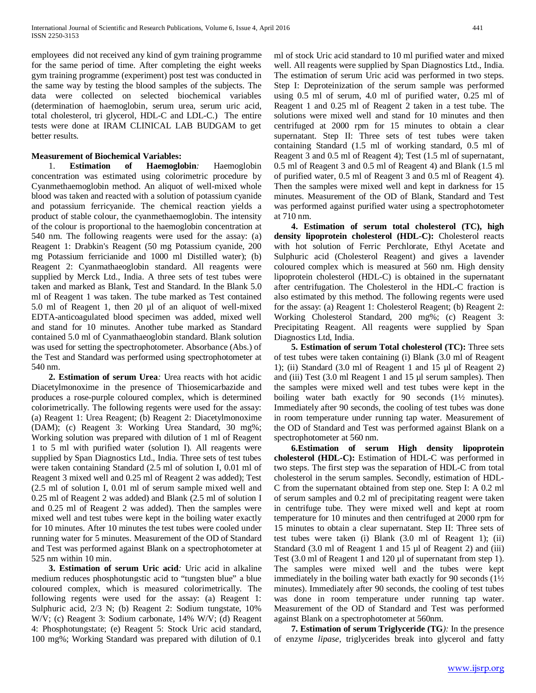employees did not received any kind of gym training programme for the same period of time. After completing the eight weeks gym training programme (experiment) post test was conducted in the same way by testing the blood samples of the subjects. The data were collected on selected biochemical variables (determination of haemoglobin, serum urea, serum uric acid, total cholesterol, tri glycerol, HDL-C and LDL-C.) The entire tests were done at IRAM CLINICAL LAB BUDGAM to get better results.

# **Measurement of Biochemical Variables:**

 1. **Estimation of Haemoglobin***:* Haemoglobin concentration was estimated using colorimetric procedure by Cyanmethaemoglobin method. An aliquot of well-mixed whole blood was taken and reacted with a solution of potassium cyanide and potassium ferricyanide. The chemical reaction yields a product of stable colour, the cyanmethaemoglobin. The intensity of the colour is proportional to the haemoglobin concentration at 540 nm. The following reagents were used for the assay: (a) Reagent 1: Drabkin's Reagent (50 mg Potassium cyanide, 200 mg Potassium ferricianide and 1000 ml Distilled water); (b) Reagent 2: Cyanmathaeoglobin standard. All reagents were supplied by Merck Ltd., India. A three sets of test tubes were taken and marked as Blank, Test and Standard. In the Blank 5.0 ml of Reagent 1 was taken. The tube marked as Test contained 5.0 ml of Reagent 1, then 20 µl of an aliquot of well-mixed EDTA-anticoagulated blood specimen was added, mixed well and stand for 10 minutes. Another tube marked as Standard contained 5.0 ml of Cyanmathaeoglobin standard. Blank solution was used for setting the spectrophotometer. Absorbance (Abs.) of the Test and Standard was performed using spectrophotometer at 540 nm.

 **2. Estimation of serum Urea***:* Urea reacts with hot acidic Diacetylmonoxime in the presence of Thiosemicarbazide and produces a rose-purple coloured complex, which is determined colorimetrically. The following regents were used for the assay: (a) Reagent 1: Urea Reagent; (b) Reagent 2: Diacetylmonoxime (DAM); (c) Reagent 3: Working Urea Standard, 30 mg%; Working solution was prepared with dilution of 1 ml of Reagent 1 to 5 ml with purified water (solution I). All reagents were supplied by Span Diagnostics Ltd., India. Three sets of test tubes were taken containing Standard (2.5 ml of solution I, 0.01 ml of Reagent 3 mixed well and 0.25 ml of Reagent 2 was added); Test (2.5 ml of solution I, 0.01 ml of serum sample mixed well and 0.25 ml of Reagent 2 was added) and Blank (2.5 ml of solution I and 0.25 ml of Reagent 2 was added). Then the samples were mixed well and test tubes were kept in the boiling water exactly for 10 minutes. After 10 minutes the test tubes were cooled under running water for 5 minutes. Measurement of the OD of Standard and Test was performed against Blank on a spectrophotometer at 525 nm within 10 min.

 **3. Estimation of serum Uric acid***:* Uric acid in alkaline medium reduces phosphotungstic acid to "tungsten blue" a blue coloured complex, which is measured colorimetrically. The following regents were used for the assay: (a) Reagent 1: Sulphuric acid, 2/3 N; (b) Reagent 2: Sodium tungstate, 10% W/V; (c) Reagent 3: Sodium carbonate, 14% W/V; (d) Reagent 4: Phosphotungstate; (e) Reagent 5: Stock Uric acid standard, 100 mg%; Working Standard was prepared with dilution of 0.1

ml of stock Uric acid standard to 10 ml purified water and mixed well. All reagents were supplied by Span Diagnostics Ltd., India. The estimation of serum Uric acid was performed in two steps. Step I: Deproteinization of the serum sample was performed using 0.5 ml of serum, 4.0 ml of purified water, 0.25 ml of Reagent 1 and 0.25 ml of Reagent 2 taken in a test tube. The solutions were mixed well and stand for 10 minutes and then centrifuged at 2000 rpm for 15 minutes to obtain a clear supernatant. Step II: Three sets of test tubes were taken containing Standard (1.5 ml of working standard, 0.5 ml of Reagent 3 and 0.5 ml of Reagent 4); Test (1.5 ml of supernatant, 0.5 ml of Reagent 3 and 0.5 ml of Reagent 4) and Blank (1.5 ml of purified water, 0.5 ml of Reagent 3 and 0.5 ml of Reagent 4). Then the samples were mixed well and kept in darkness for 15 minutes. Measurement of the OD of Blank, Standard and Test was performed against purified water using a spectrophotometer at 710 nm.

 **4. Estimation of serum total cholesterol (TC), high density lipoprotein cholesterol (HDL-C):** Cholesterol reacts with hot solution of Ferric Perchlorate, Ethyl Acetate and Sulphuric acid (Cholesterol Reagent) and gives a lavender coloured complex which is measured at 560 nm. High density lipoprotein cholesterol (HDL-C) is obtained in the supernatant after centrifugation. The Cholesterol in the HDL-C fraction is also estimated by this method. The following regents were used for the assay: (a) Reagent 1: Cholesterol Reagent; (b) Reagent 2: Working Cholesterol Standard, 200 mg%; (c) Reagent 3: Precipitating Reagent. All reagents were supplied by Span Diagnostics Ltd, India.

 **5. Estimation of serum Total cholesterol (TC):** Three sets of test tubes were taken containing (i) Blank (3.0 ml of Reagent 1); (ii) Standard (3.0 ml of Reagent 1 and 15 µl of Reagent 2) and (iii) Test (3.0 ml Reagent 1 and 15 µl serum samples). Then the samples were mixed well and test tubes were kept in the boiling water bath exactly for 90 seconds (1<sup>1</sup>/<sub>2</sub> minutes). Immediately after 90 seconds, the cooling of test tubes was done in room temperature under running tap water. Measurement of the OD of Standard and Test was performed against Blank on a spectrophotometer at 560 nm.

 **6.Estimation of serum High density lipoprotein cholesterol (HDL-C):** Estimation of HDL-C was performed in two steps. The first step was the separation of HDL-C from total cholesterol in the serum samples. Secondly, estimation of HDL-C from the supernatant obtained from step one. Step I: A 0.2 ml of serum samples and 0.2 ml of precipitating reagent were taken in centrifuge tube. They were mixed well and kept at room temperature for 10 minutes and then centrifuged at 2000 rpm for 15 minutes to obtain a clear supernatant. Step II: Three sets of test tubes were taken (i) Blank (3.0 ml of Reagent 1); (ii) Standard (3.0 ml of Reagent 1 and 15 µl of Reagent 2) and (iii) Test (3.0 ml of Reagent 1 and 120 µl of supernatant from step 1). The samples were mixed well and the tubes were kept immediately in the boiling water bath exactly for 90 seconds (1½ minutes). Immediately after 90 seconds, the cooling of test tubes was done in room temperature under running tap water. Measurement of the OD of Standard and Test was performed against Blank on a spectrophotometer at 560nm.

 **7. Estimation of serum Triglyceride (TG***):* In the presence of enzyme *lipase,* triglycerides break into glycerol and fatty